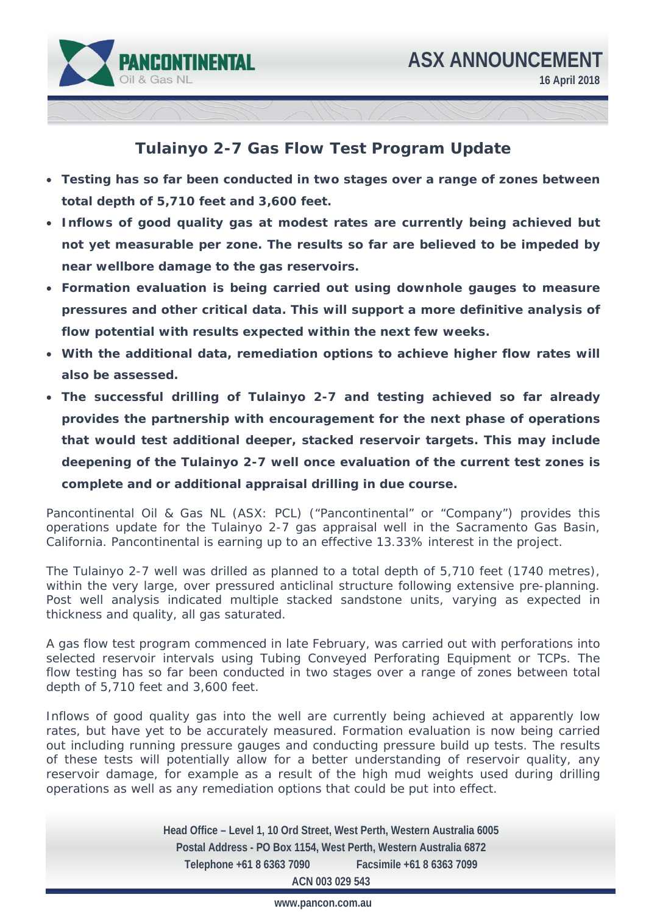



## **Tulainyo 2-7 Gas Flow Test Program Update**

- **Testing has so far been conducted in two stages over a range of zones between total depth of 5,710 feet and 3,600 feet.**
- **Inflows of good quality gas at modest rates are currently being achieved but not yet measurable per zone. The results so far are believed to be impeded by near wellbore damage to the gas reservoirs.**
- **Formation evaluation is being carried out using downhole gauges to measure pressures and other critical data. This will support a more definitive analysis of flow potential with results expected within the next few weeks.**
- **With the additional data, remediation options to achieve higher flow rates will also be assessed.**
- **The successful drilling of Tulainyo 2-7 and testing achieved so far already provides the partnership with encouragement for the next phase of operations that would test additional deeper, stacked reservoir targets. This may include deepening of the Tulainyo 2-7 well once evaluation of the current test zones is complete and or additional appraisal drilling in due course.**

Pancontinental Oil & Gas NL (ASX: PCL) ("Pancontinental" or "Company") provides this operations update for the Tulainyo 2-7 gas appraisal well in the Sacramento Gas Basin, California. Pancontinental is earning up to an effective 13.33% interest in the project.

The Tulainyo 2-7 well was drilled as planned to a total depth of 5,710 feet (1740 metres), within the very large, over pressured anticlinal structure following extensive pre-planning. Post well analysis indicated multiple stacked sandstone units, varying as expected in thickness and quality, all gas saturated.

A gas flow test program commenced in late February, was carried out with perforations into selected reservoir intervals using Tubing Conveyed Perforating Equipment or TCPs. The flow testing has so far been conducted in two stages over a range of zones between total depth of 5,710 feet and 3,600 feet.

Inflows of good quality gas into the well are currently being achieved at apparently low rates, but have yet to be accurately measured. Formation evaluation is now being carried out including running pressure gauges and conducting pressure build up tests. The results of these tests will potentially allow for a better understanding of reservoir quality, any reservoir damage, for example as a result of the high mud weights used during drilling operations as well as any remediation options that could be put into effect.

> **Head Office – Level 1, 10 Ord Street, West Perth, Western Australia 6005 Postal Address - PO Box 1154, West Perth, Western Australia 6872 Telephone +61 8 6363 7090 Facsimile +61 8 6363 7099 ACN 003 029 543**

> > **www.pancon.com.au**